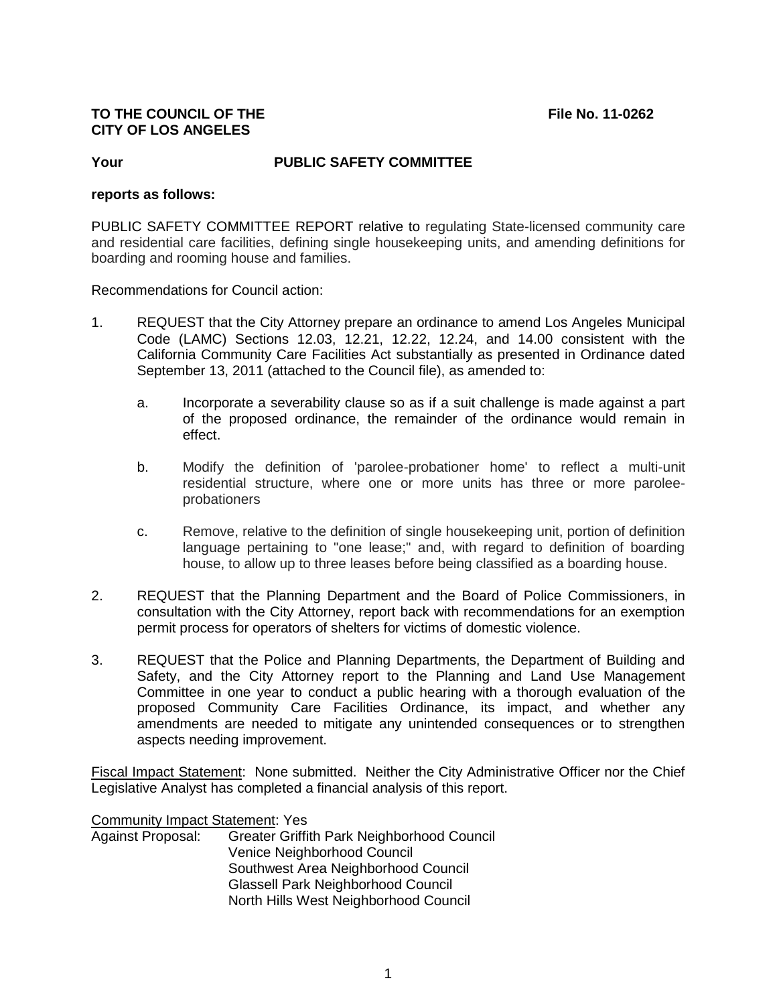## **TO THE COUNCIL OF THE File No. 11-0262 CITY OF LOS ANGELES**

# **Your PUBLIC SAFETY COMMITTEE**

#### **reports as follows:**

PUBLIC SAFETY COMMITTEE REPORT relative to regulating State-licensed community care and residential care facilities, defining single housekeeping units, and amending definitions for boarding and rooming house and families.

Recommendations for Council action:

- 1. REQUEST that the City Attorney prepare an ordinance to amend Los Angeles Municipal Code (LAMC) Sections 12.03, 12.21, 12.22, 12.24, and 14.00 consistent with the California Community Care Facilities Act substantially as presented in Ordinance dated September 13, 2011 (attached to the Council file), as amended to:
	- a. Incorporate a severability clause so as if a suit challenge is made against a part of the proposed ordinance, the remainder of the ordinance would remain in effect.
	- b. Modify the definition of 'parolee-probationer home' to reflect a multi-unit residential structure, where one or more units has three or more paroleeprobationers
	- c. Remove, relative to the definition of single housekeeping unit, portion of definition language pertaining to "one lease;" and, with regard to definition of boarding house, to allow up to three leases before being classified as a boarding house.
- 2. REQUEST that the Planning Department and the Board of Police Commissioners, in consultation with the City Attorney, report back with recommendations for an exemption permit process for operators of shelters for victims of domestic violence.
- 3. REQUEST that the Police and Planning Departments, the Department of Building and Safety, and the City Attorney report to the Planning and Land Use Management Committee in one year to conduct a public hearing with a thorough evaluation of the proposed Community Care Facilities Ordinance, its impact, and whether any amendments are needed to mitigate any unintended consequences or to strengthen aspects needing improvement.

Fiscal Impact Statement: None submitted. Neither the City Administrative Officer nor the Chief Legislative Analyst has completed a financial analysis of this report.

Community Impact Statement: Yes

Against Proposal: Greater Griffith Park Neighborhood Council Venice Neighborhood Council Southwest Area Neighborhood Council Glassell Park Neighborhood Council North Hills West Neighborhood Council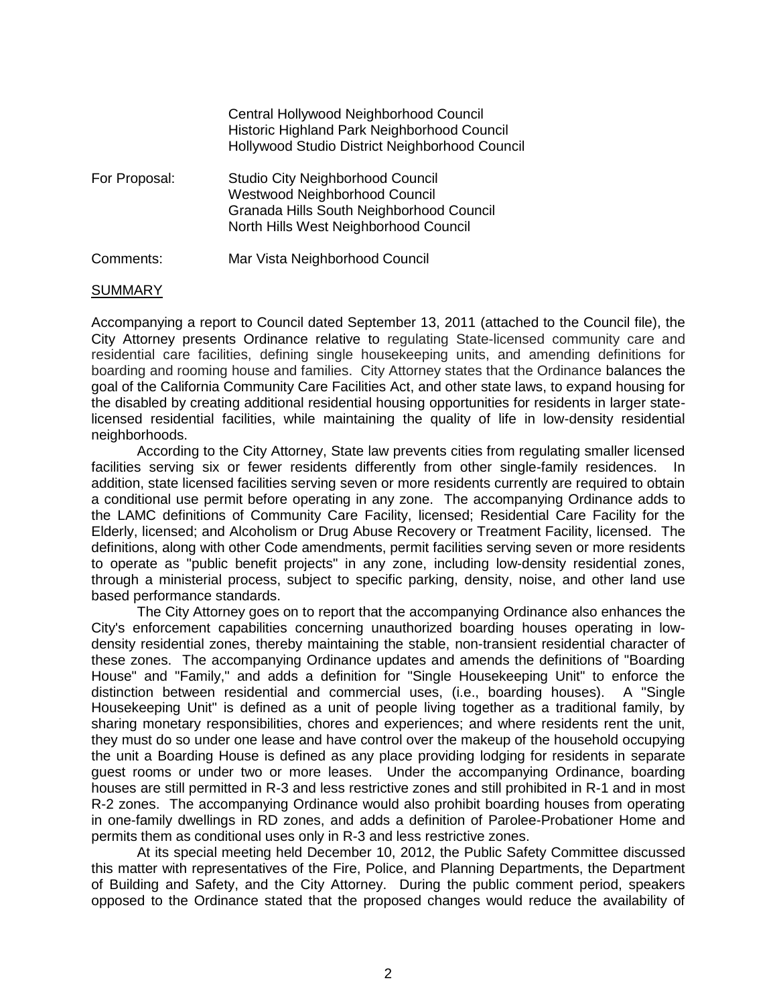|               | Central Hollywood Neighborhood Council<br>Historic Highland Park Neighborhood Council<br>Hollywood Studio District Neighborhood Council                              |
|---------------|----------------------------------------------------------------------------------------------------------------------------------------------------------------------|
| For Proposal: | <b>Studio City Neighborhood Council</b><br><b>Westwood Neighborhood Council</b><br>Granada Hills South Neighborhood Council<br>North Hills West Neighborhood Council |
| Comments:     | Mar Vista Neighborhood Council                                                                                                                                       |

#### SUMMARY

Accompanying a report to Council dated September 13, 2011 (attached to the Council file), the City Attorney presents Ordinance relative to regulating State-licensed community care and residential care facilities, defining single housekeeping units, and amending definitions for boarding and rooming house and families. City Attorney states that the Ordinance balances the goal of the California Community Care Facilities Act, and other state laws, to expand housing for the disabled by creating additional residential housing opportunities for residents in larger statelicensed residential facilities, while maintaining the quality of life in low-density residential neighborhoods.

According to the City Attorney, State law prevents cities from regulating smaller licensed facilities serving six or fewer residents differently from other single-family residences. In addition, state licensed facilities serving seven or more residents currently are required to obtain a conditional use permit before operating in any zone. The accompanying Ordinance adds to the LAMC definitions of Community Care Facility, licensed; Residential Care Facility for the Elderly, licensed; and Alcoholism or Drug Abuse Recovery or Treatment Facility, licensed. The definitions, along with other Code amendments, permit facilities serving seven or more residents to operate as "public benefit projects" in any zone, including low-density residential zones, through a ministerial process, subject to specific parking, density, noise, and other land use based performance standards.

The City Attorney goes on to report that the accompanying Ordinance also enhances the City's enforcement capabilities concerning unauthorized boarding houses operating in lowdensity residential zones, thereby maintaining the stable, non-transient residential character of these zones. The accompanying Ordinance updates and amends the definitions of "Boarding House" and "Family," and adds a definition for "Single Housekeeping Unit" to enforce the distinction between residential and commercial uses, (i.e., boarding houses). A "Single Housekeeping Unit" is defined as a unit of people living together as a traditional family, by sharing monetary responsibilities, chores and experiences; and where residents rent the unit, they must do so under one lease and have control over the makeup of the household occupying the unit a Boarding House is defined as any place providing lodging for residents in separate guest rooms or under two or more leases. Under the accompanying Ordinance, boarding houses are still permitted in R-3 and less restrictive zones and still prohibited in R-1 and in most R-2 zones. The accompanying Ordinance would also prohibit boarding houses from operating in one-family dwellings in RD zones, and adds a definition of Parolee-Probationer Home and permits them as conditional uses only in R-3 and less restrictive zones.

At its special meeting held December 10, 2012, the Public Safety Committee discussed this matter with representatives of the Fire, Police, and Planning Departments, the Department of Building and Safety, and the City Attorney. During the public comment period, speakers opposed to the Ordinance stated that the proposed changes would reduce the availability of